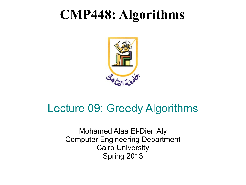### **CMP448: Algorithms**



#### Lecture 09: Greedy Algorithms

Mohamed Alaa El-Dien Aly Computer Engineering Department Cairo University Spring 2013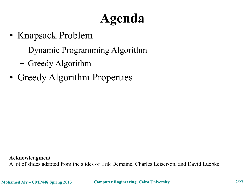## **Agenda**

- Knapsack Problem
	- Dynamic Programming Algorithm
	- Greedy Algorithm
- Greedy Algorithm Properties

**Acknowledgment**

A lot of slides adapted from the slides of Erik Demaine, Charles Leiserson, and David Luebke.

**Mohamed Aly – CMP448 Spring 2013 Computer Engineering, Cairo University 2/27**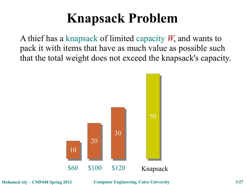## **Knapsack Problem**

A thief has a knapsack of limited capacity *W*, and wants to pack it with items that have as much value as possible such that the total weight does not exceed the knapsack's capacity.

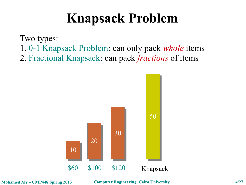### **Knapsack Problem**

Two types:

- 1. 0-1 Knapsack Problem: can only pack *whole* items
- 2. Fractional Knapsack: can pack *fractions* of items



**Mohamed Aly – CMP448 Spring 2013 Computer Engineering, Cairo University 4/27**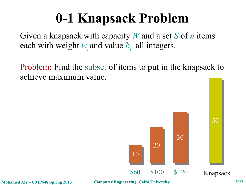## **0-1 Knapsack Problem**

Given a knapsack with capacity *W* and a set *S* of *n* items each with weight  $w_i$  and value  $b_i$ , all integers.

Problem: Find the subset of items to put in the knapsack to achieve maximum value.



**Mohamed Aly – CMP448 Spring 2013 Computer Engineering, Cairo University 5/27**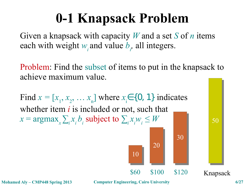## **0-1 Knapsack Problem**

Given a knapsack with capacity *W* and a set *S* of *n* items each with weight  $w_i$  and value  $b_i$ , all integers.

Problem: Find the subset of items to put in the knapsack to achieve maximum value.

**Mohamed Aly – CMP448 Spring 2013 Computer Engineering, Cairo University 6/27** Find  $x = [x_1, x_2, ..., x_n]$  where  $x_i \in \{0, 1\}$  indicates whether item *i* is included or not, such that  $x = \argmax_{x} \sum_{i} x_{i} b_{i}$  subject to  $\sum_{i} x_{i} w_{i} \leq W$ 10 10 20 20 30 30 \$60 \$100 \$120 50 50 Knapsack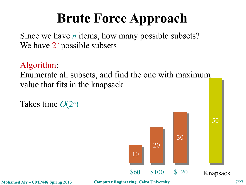## **Brute Force Approach**

Since we have *n* items, how many possible subsets? We have  $2^n$  possible subsets

Algorithm:

Enumerate all subsets, and find the one with maximum value that fits in the knapsack

Takes time *O*(2*<sup>n</sup>* )



**Mohamed Aly – CMP448 Spring 2013 Computer Engineering, Cairo University 7/27**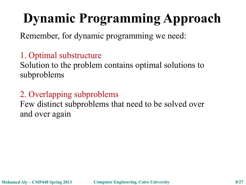# **Dynamic Programming Approach**

Remember, for dynamic programming we need:

#### 1. Optimal substructure

Solution to the problem contains optimal solutions to subproblems

#### 2. Overlapping subproblems

Few distinct subproblems that need to be solved over and over again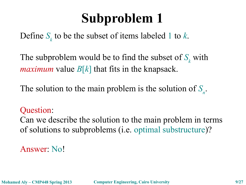Define *S<sup>k</sup>* to be the subset of items labeled 1 to *k*.

The subproblem would be to find the subset of  $S_k$  with *maximum* value  $B[k]$  that fits in the knapsack.

The solution to the main problem is the solution of  $S_n$ .

Question:

Can we describe the solution to the main problem in terms of solutions to subproblems (i.e. optimal substructure)?

Answer: No!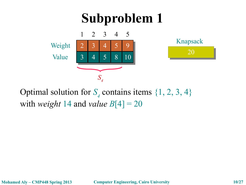

Optimal solution for  $S_4$  contains items  $\{1, 2, 3, 4\}$ with *weight* 14 and *value*  $B[4] = 20$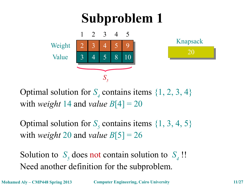

Optimal solution for  $S_4$  contains items  $\{1, 2, 3, 4\}$ with *weight* 14 and *value*  $B[4] = 20$ 

Optimal solution for  $S_5$  contains items  $\{1, 3, 4, 5\}$ with *weight* 20 and *value*  $B[5] = 26$ 

Solution to  $S_5$  does not contain solution to  $S_4$ !! Need another definition for the subproblem.

**Mohamed Aly – CMP448 Spring 2013 Computer Engineering, Cairo University 11/27**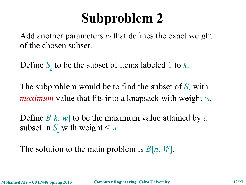Add another parameters *w* that defines the exact weight of the chosen subset.

Define *S<sup>k</sup>* to be the subset of items labeled 1 to *k*.

The subproblem would be to find the subset of  $S_k$  with *maximum* value that fits into a knapsack with weight *w*.

Define  $B[k, w]$  to be the maximum value attained by a subset in  $S_k$  with weight  $\leq w$ 

The solution to the main problem is *B*[*n*, *W*].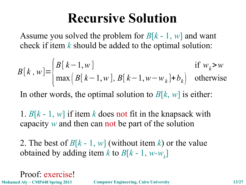### **Recursive Solution**

Assume you solved the problem for *B*[*k* - 1, *w*] and want check if item *k* should be added to the optimal solution:

$$
B[k, w] = \begin{cases} B[k-1, w] & \text{if } w_k > w \\ \max\left(B[k-1, w], B[k-1, w - w_k] + b_k\right) & \text{otherwise} \end{cases}
$$

In other words, the optimal solution to *B*[*k*, *w*] is either:

1.  $B[k-1, w]$  if item *k* does not fit in the knapsack with capacity *w* and then can not be part of the solution

2. The best of  $B[k-1, w]$  (without item k) or the value obtained by adding item  $k$  to  $B[k-1, w-w_k]$ 

Proof: exercise!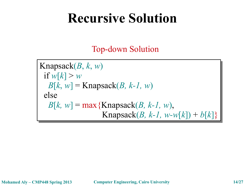### **Recursive Solution**

Top-down Solution

Knapsack(*B*, *k*, *w*) Knapsack(*B*, *k*, *w*) if  $w[k] > w$  $B[k, w] =$ Knapsack(*B, k-1, w*) else else *B*[ $k$ ,  $w$ ] = max{Knapsack( $B$ ,  $k$ -1,  $w$ ),  $Knapsack(B, k-1, w-w[k]) + b[k]$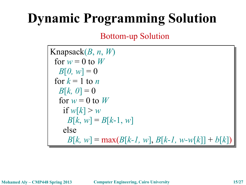## **Dynamic Programming Solution**

Bottom-up Solution

Knapsack(*B*, *n*, *W*) Knapsack(*B*, *n*, *W*) for  $w = 0$  to  $W$  $B[0, w] = 0$ for  $k = 1$  to *n*  $B[k, 0] = 0$ for  $w = 0$  to  $W$ if  $w[k] > w$  $B[k, w] = B[k-1, w]$  else else *B*[*k, w*] = max(*B*[*k-1, w*], *B*[*k-1, w-w*[*k*]] + *b*[*k*])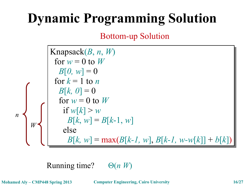## **Dynamic Programming Solution**

Bottom-up Solution

*W n* Knapsack(*B*, *n*, *W*) Knapsack(*B*, *n*, *W*) for  $w = 0$  to  $W$  $B[0, w] = 0$ for  $k = 1$  to *n*  $B[k, 0] = 0$ for  $w = 0$  to  $W$ if  $w[k] > w$ *B*[ $k$ ,  $w$ ] = *B*[ $k$ -1,  $w$ ] else else *B*[*k, w*] = max(*B*[*k-1, w*], *B*[*k-1, w-w*[*k*]] + *b*[*k*]) if  $w[k] > w$ *B*[ $k$ ,  $w$ ] = *B*[ $k$ -1,  $w$ ]

Running time? Θ(*n W*)

**Mohamed Aly – CMP448 Spring 2013 Computer Engineering, Cairo University 16/27**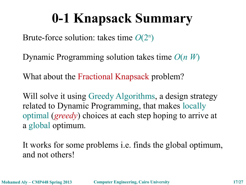## **0-1 Knapsack Summary**

Brute-force solution: takes time *O*(2<sup>n</sup> )

Dynamic Programming solution takes time *O*(*n W*)

What about the Fractional Knapsack problem?

Will solve it using Greedy Algorithms, a design strategy related to Dynamic Programming, that makes locally optimal (*greedy*) choices at each step hoping to arrive at a global optimum.

It works for some problems i.e. finds the global optimum, and not others!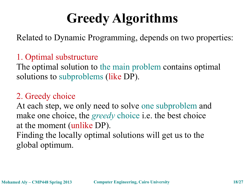## **Greedy Algorithms**

Related to Dynamic Programming, depends on two properties:

#### 1. Optimal substructure

The optimal solution to the main problem contains optimal solutions to subproblems (like DP).

#### 2. Greedy choice

At each step, we only need to solve one subproblem and make one choice, the *greedy* choice i.e. the best choice at the moment (unlike DP).

Finding the locally optimal solutions will get us to the global optimum.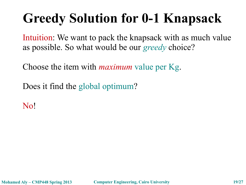## **Greedy Solution for 0-1 Knapsack**

Intuition: We want to pack the knapsack with as much value as possible. So what would be our *greedy* choice?

Choose the item with *maximum* value per Kg.

Does it find the global optimum?

No!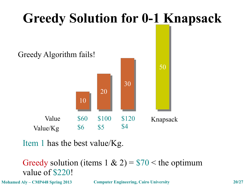

Item 1 has the best value/Kg.

Greedy solution (items  $1 \& 2$ ) = \$70 < the optimum value of \$220!

**Mohamed Aly – CMP448 Spring 2013 Computer Engineering, Cairo University 20/27**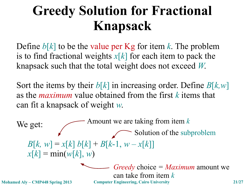## **Greedy Solution for Fractional Knapsack**

Define *b*[*k*] to be the value per Kg for item *k*. The problem is to find fractional weights *x*[*k*] for each item to pack the knapsack such that the total weight does not exceed *W*.

Sort the items by their *b*[*k*] in increasing order. Define *B*[*k,w*] as the *maximum* value obtained from the first *k* items that can fit a knapsack of weight *w*.

We get:  $B[k, w] = x[k] b[k] + B[k-1, w - x[k]]$  $x[k] = \min(w[k], w)$ Amount we are taking from item *k* Solution of the subproblem *Greedy* choice *= Maximum* amount we can take from item *k*

**Mohamed Aly – CMP448 Spring 2013 Computer Engineering, Cairo University 21/27**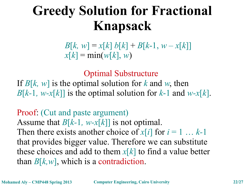## **Greedy Solution for Fractional Knapsack**

 $B[k, w] = x[k] b[k] + B[k-1, w - x[k]]$  $x[k] = min(w[k], w)$ 

Optimal Substructure

If  $B[k, w]$  is the optimal solution for *k* and *w*, then *B*[ $k$ -1,  $w$ - $x[k]$ ] is the optimal solution for  $k$ -1 and  $w$ - $x[k]$ .

Proof: (Cut and paste argument) Assume that *B*[*k-*1*, w-x*[*k*]] is not optimal. Then there exists another choice of  $x[i]$  for  $i = 1 \ldots k-1$ that provides bigger value. Therefore we can substitute these choices and add to them *x*[*k*] to find a value better than  $B[k, w]$ , which is a contradiction.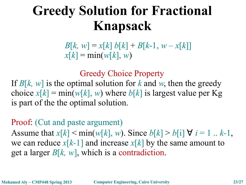## **Greedy Solution for Fractional Knapsack**

 $B[k, w] = x[k] b[k] + B[k-1, w - x[k]]$  $x[k] = min(w[k], w)$ 

#### Greedy Choice Property

If  $B[k, w]$  is the optimal solution for k and w, then the greedy choice  $x[k] = min(w[k], w)$  where  $b[k]$  is largest value per Kg is part of the the optimal solution.

#### Proof: (Cut and paste argument)

Assume that  $x[k] < min(w[k], w)$ . Since  $b[k] > b[i] \forall i = 1...k-1$ , we can reduce  $x[k-1]$  and increase  $x[k]$  by the same amount to get a larger *B*[*k, w*], which is a contradiction.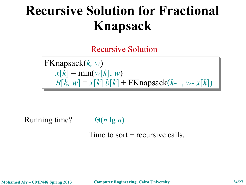### **Recursive Solution for Fractional Knapsack**

Recursive Solution

FKnapsack(*k, w*) FKnapsack(*k, w*)  $x[k] = \min(w[k], w)$  $B[k, w] = x[k] b[k] + FK$ napsack $(k-1, w-x[k])$ 

Running time? Θ(*n* lg *n*)

Time to sort  $+$  recursive calls.

**Mohamed Aly – CMP448 Spring 2013 Computer Engineering, Cairo University 24/27**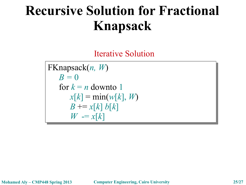## **Recursive Solution for Fractional Knapsack**

Iterative Solution

FKnapsack(*n, W*) FKnapsack(*n, W*)  $B=0$ for  $k = n$  downto 1  $x[k] = min(w[k], W)$  $B \leftarrow x[k] b[k]$  $W = x[k]$ 

**Mohamed Aly – CMP448 Spring 2013 Computer Engineering, Cairo University 25/27**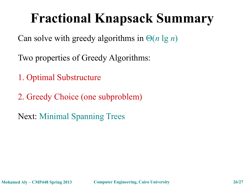## **Fractional Knapsack Summary**

Can solve with greedy algorithms in Θ(*n* lg *n*)

Two properties of Greedy Algorithms:

1. Optimal Substructure

2. Greedy Choice (one subproblem)

Next: Minimal Spanning Trees